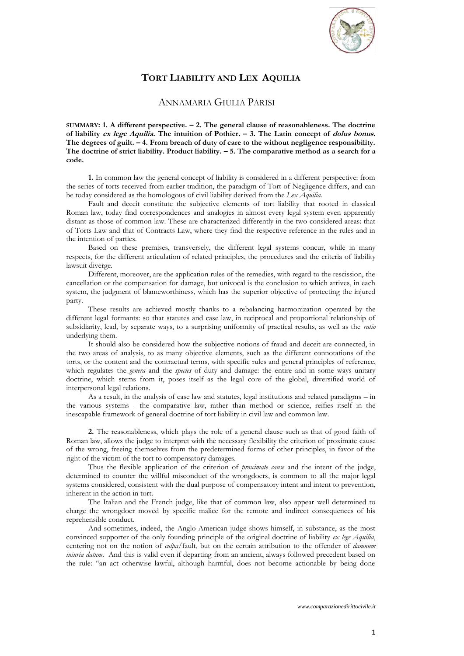

## **TORT LIABILITY AND LEX AQUILIA**

## ANNAMARIA GIULIA PARISI

**SUMMARY: 1. A different perspective. – 2. The general clause of reasonableness. The doctrine of liability ex lege Aquilia. The intuition of Pothier. – 3. The Latin concept of dolus bonus. The degrees of guilt. – 4. From breach of duty of care to the without negligence responsibility. The doctrine of strict liability. Product liability. – 5. The comparative method as a search for a code.** 

**1.** In common law the general concept of liability is considered in a different perspective: from the series of torts received from earlier tradition, the paradigm of Tort of Negligence differs, and can be today considered as the homologous of civil liability derived from the *Lex Aquilia*.

Fault and deceit constitute the subjective elements of tort liability that rooted in classical Roman law, today find correspondences and analogies in almost every legal system even apparently distant as those of common law. These are characterized differently in the two considered areas: that of Torts Law and that of Contracts Law, where they find the respective reference in the rules and in the intention of parties.

Based on these premises, transversely, the different legal systems concur, while in many respects, for the different articulation of related principles, the procedures and the criteria of liability lawsuit diverge.

Different, moreover, are the application rules of the remedies, with regard to the rescission, the cancellation or the compensation for damage, but univocal is the conclusion to which arrives, in each system, the judgment of blameworthiness, which has the superior objective of protecting the injured party.

These results are achieved mostly thanks to a rebalancing harmonization operated by the different legal formants: so that statutes and case law, in reciprocal and proportional relationship of subsidiarity, lead, by separate ways, to a surprising uniformity of practical results, as well as the *ratio* underlying them.

It should also be considered how the subjective notions of fraud and deceit are connected, in the two areas of analysis, to as many objective elements, such as the different connotations of the torts, or the content and the contractual terms, with specific rules and general principles of reference, which regulates the *genera* and the *species* of duty and damage: the entire and in some ways unitary doctrine, which stems from it, poses itself as the legal core of the global, diversified world of interpersonal legal relations.

As a result, in the analysis of case law and statutes, legal institutions and related paradigms – in the various systems - the comparative law, rather than method or science, reifies itself in the inescapable framework of general doctrine of tort liability in civil law and common law.

**2.** The reasonableness, which plays the role of a general clause such as that of good faith of Roman law, allows the judge to interpret with the necessary flexibility the criterion of proximate cause of the wrong, freeing themselves from the predetermined forms of other principles, in favor of the right of the victim of the tort to compensatory damages.

Thus the flexible application of the criterion of *proximate cause* and the intent of the judge, determined to counter the willful misconduct of the wrongdoers, is common to all the major legal systems considered, consistent with the dual purpose of compensatory intent and intent to prevention, inherent in the action in tort.

The Italian and the French judge, like that of common law, also appear well determined to charge the wrongdoer moved by specific malice for the remote and indirect consequences of his reprehensible conduct.

And sometimes, indeed, the Anglo-American judge shows himself, in substance, as the most convinced supporter of the only founding principle of the original doctrine of liability *ex lege Aquilia*, centering not on the notion of *culpa*/fault, but on the certain attribution to the offender of *damnum iniuria datum*. And this is valid even if departing from an ancient, always followed precedent based on the rule: "an act otherwise lawful, although harmful, does not become actionable by being done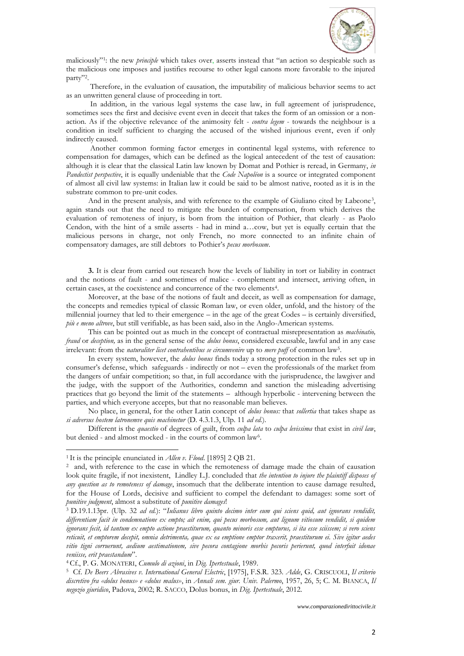

maliciously"<sup>1</sup> : the new *principle* which takes over, asserts instead that "an action so despicable such as the malicious one imposes and justifies recourse to other legal canons more favorable to the injured party"<sup>2</sup> .

Therefore, in the evaluation of causation, the imputability of malicious behavior seems to act as an unwritten general clause of proceeding in tort.

In addition, in the various legal systems the case law, in full agreement of jurisprudence, sometimes sees the first and decisive event even in deceit that takes the form of an omission or a nonaction. As if the objective relevance of the animosity felt - *contra legem* - towards the neighbour is a condition in itself sufficient to charging the accused of the wished injurious event, even if only indirectly caused.

Another common forming factor emerges in continental legal systems, with reference to compensation for damages, which can be defined as the logical antecedent of the test of causation: although it is clear that the classical Latin law known by Domat and Pothier is reread, in Germany, *in Pandectist perspective*, it is equally undeniable that the *Code Napoléon* is a source or integrated component of almost all civil law systems: in Italian law it could be said to be almost native, rooted as it is in the substrate common to pre-unit codes.

And in the present analysis, and with reference to the example of Giuliano cited by Labeone<sup>3</sup> , again stands out that the need to mitigate the burden of compensation, from which derives the evaluation of remoteness of injury, is born from the intuition of Pothier, that clearly - as Paolo Cendon, with the hint of a smile asserts - had in mind a…cow, but yet is equally certain that the malicious persons in charge, not only French, no more connected to an infinite chain of compensatory damages, are still debtors to Pothier's *pecus morbosum*.

**3.** It is clear from carried out research how the levels of liability in tort or liability in contract and the notions of fault - and sometimes of malice - complement and intersect, arriving often, in certain cases, at the coexistence and concurrence of the two elements<sup>4</sup> .

Moreover, at the base of the notions of fault and deceit, as well as compensation for damage, the concepts and remedies typical of classic Roman law, or even older, unfold, and the history of the millennial journey that led to their emergence – in the age of the great Codes – is certainly diversified, *più e meno altrove*, but still verifiable, as has been said, also in the Anglo-American systems.

This can be pointed out as much in the concept of contractual misrepresentation as *machinatio, fraud* or *deception,* as in the general sense of the *dolus bonus*, considered excusable, lawful and in any case irrelevant: from the *naturaliter licet contrahentibus se circumvenire* up to *mere puff* of common law<sup>5</sup>.

In every system, however, the *dolus bonus* finds today a strong protection in the rules set up in consumer's defense, which safeguards - indirectly or not – even the professionals of the market from the dangers of unfair competition; so that, in full accordance with the jurisprudence, the lawgiver and the judge, with the support of the Authorities, condemn and sanction the misleading advertising practices that go beyond the limit of the statements – although hyperbolic - intervening between the parties, and which everyone accepts, but that no reasonable man believes.

No place, in general, for the other Latin concept of *dolus bonus:* that *sollertia* that takes shape as *si adversus hostem latronemve quis machinetur* (D. 4.3.1.3, Ulp. 11 *ad ed.*).

Different is the *quaestio* of degrees of guilt, from *culpa lata* to *culpa levissima* that exist in *civil law*, but denied - and almost mocked - in the courts of common law<sup>6</sup>.

 $\overline{a}$ 

<sup>4</sup> Cf., P. G. MONATERI, *Cumulo di azioni*, in *Dig. Ipertestuale*, 1989.

<sup>1</sup> It is the principle enunciated in *Allen v. Flood*. [1895] 2 QB 21.

<sup>2</sup> and, with reference to the case in which the remoteness of damage made the chain of causation look quite fragile, if not inexistent, Lindley L.J. concluded that *the intention to injure the plaintiff disposes of any question as to remoteness of damage*, insomuch that the deliberate intention to cause damage resulted, for the House of Lords, decisive and sufficient to compel the defendant to damages: some sort of *punitive judgment*, almost a substitute of *punitive damages*!

<sup>3</sup> D.19.1.13pr. (Ulp. 32 *ad ed.*): "*Iulianus libro quinto decimo inter eum qui sciens quid, aut ignorans vendidit, differentiam facit in condemnatione ex empto; ait enim, qui pecus morbosum, aut lignum vitiosum vendidit, si quidem ignorans fecit, id tantum ex empto actione praestiturum, quanto minoris esse empturus, si ita esse sciissem; si vero sciens reticuit, et emptorem decepit, omnia detrimenta, quae ex ea emptione emptor traxerit, praestiturum ei. Sive igitur aedes vitio tigni corruerunt, aedium aestimationem, sive pecora contagione morbis pecoris perierunt, quod interfuit idonae veniisse, erit praestandum*".

<sup>5</sup> Cf. *De Beers Abrasives v. International General Electric*, [1975], F.S.R. 323. *Adde*, G. CRISCUOLI, *Il criterio discretivo fra «dolus bonus» e «dolus malus»*, in *Annali sem. giur. Univ. Palermo*, 1957, 26, 5; C. M. BIANCA, *Il negozio giuridico*, Padova, 2002; R. SACCO, Dolus bonus, in *Dig. Ipertestuale*, 2012.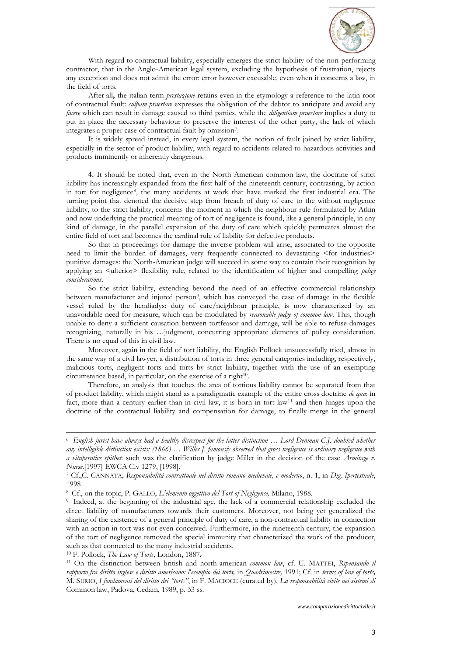

With regard to contractual liability, especially emerges the strict liability of the non-performing contractor, that in the Anglo-American legal system, excluding the hypothesis of frustration, rejects any exception and does not admit the error: error however excusable, even when it concerns a law, in the field of torts.

After all**,** the italian term *prestazione* retains even in the etymology a reference to the latin root of contractual fault: *culpam praestare* expresses the obligation of the debtor to anticipate and avoid any *facere* which can result in damage caused to third parties, while the *diligentiam praestare* implies a duty to put in place the necessary behaviour to preserve the interest of the other party, the lack of which integrates a proper case of contractual fault by omission<sup>7</sup> .

It is widely spread instead, in every legal system, the notion of fault joined by strict liability, especially in the sector of product liability, with regard to accidents related to hazardous activities and products imminently or inherently dangerous*.*

**4.** It should be noted that, even in the North American common law, the doctrine of strict liability has increasingly expanded from the first half of the nineteenth century, contrasting, by action in tort for negligence<sup>8</sup> , the many accidents at work that have marked the first industrial era. The turning point that denoted the decisive step from breach of duty of care to the without negligence liability, to the strict liability, concerns the moment in which the neighbour rule formulated by Atkin and now underlying the practical meaning of tort of negligence is found, like a general principle, in any kind of damage, in the parallel expansion of the duty of care which quickly permeates almost the entire field of tort and becomes the cardinal rule of liability for defective products.

So that in proceedings for damage the inverse problem will arise, associated to the opposite need to limit the burden of damages, very frequently connected to devastating <for industries> punitive damages: the North-American judge will succeed in some way to contain their recognition by applying an <ulterior> flexibility rule, related to the identification of higher and compelling *policy considerations*.

So the strict liability, extending beyond the need of an effective commercial relationship between manufacturer and injured person<sup>9</sup>, which has conveyed the case of damage in the flexible vessel ruled by the hendiadys: duty of care/neighbour principle, is now characterized by an unavoidable need for measure, which can be modulated by *reasonable judge of common law*. This, though unable to deny a sufficient causation between tortfeasor and damage, will be able to refuse damages recognizing, naturally in his …judgment, concurring appropriate elements of policy consideration. There is no equal of this in civil law.

Moreover, again in the field of tort liability, the English Pollock unsuccessfully tried, almost in the same way of a civil lawyer, a distribution of torts in three general categories including, respectively, malicious torts, negligent torts and torts by strict liability, together with the use of an exempting circumstance based, in particular, on the exercise of a right<sup>10</sup>.

Therefore, an analysis that touches the area of tortious liability cannot be separated from that of product liability, which might stand as a paradigmatic example of the entire cross doctrine *de qua*: in fact, more than a century earlier than in civil law, it is born in tort law<sup>11</sup> and then hinges upon the doctrine of the contractual liability and compensation for damage, to finally merge in the general

<sup>10</sup> F. Pollock, *The Law of Torts*, London, 1887.

 $\overline{a}$ 

<sup>6</sup> *English jurist have always had a healthy disrespect for the latter distinction* … *Lord Denman C.J. doubted whether any intelligible distinction exists; (1866) … Willes J. famously observed that gross negligence is ordinary negligence with a vituperative epithet*: such was the clarification by judge Millet in the decision of the case *Armitage v. Nurse*.[1997] EWCA Civ 1279, [1998].

<sup>7</sup> Cf.,C. CANNATA, *Responsabilità contrattuale nel diritto romano medievale, e moderno*, n. 1, in *Dig. Ipertestuale*, 1998

<sup>8</sup> Cf., on the topic, P. GALLO, *L'elemento oggettivo del Tort of Negligence,* Milano, 1988.

<sup>9</sup> Indeed, at the beginning of the industrial age, the lack of a commercial relationship excluded the direct liability of manufacturers towards their customers. Moreover, not being yet generalized the sharing of the existence of a general principle of duty of care, a non-contractual liability in connection with an action in tort was not even conceived. Furthermore, in the nineteenth century, the expansion of the tort of negligence removed the special immunity that characterized the work of the producer, such as that connected to the many industrial accidents.

<sup>11</sup> On the distinction between british and north-american *common law*, cf. U. MATTEI, *Ripensando il rapporto fra diritto inglese e diritto americano: l'esempio dei torts,* in *Quadrimestre,* 1991; Cf. in *terms of law of torts,* M. SERIO, *I fondamenti del diritto dei "torts"*, in F. MACIOCE (curated by), *La responsabilità civile nei sistemi di*  Common law, Padova, Cedam, 1989, p. 33 ss.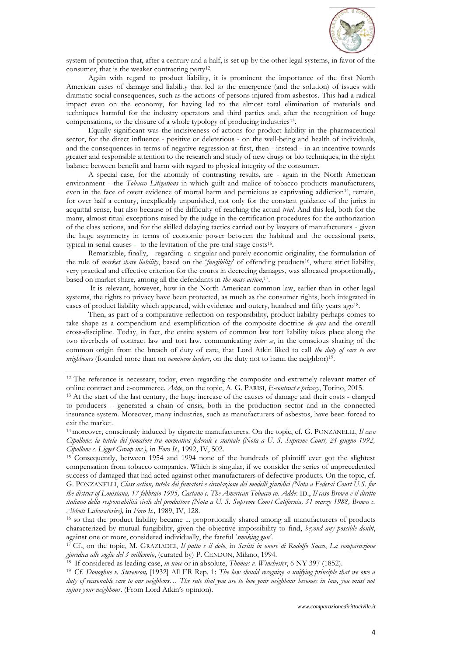

system of protection that, after a century and a half, is set up by the other legal systems, in favor of the consumer, that is the weaker contracting party<sup>12</sup>.

Again with regard to product liability, it is prominent the importance of the first North American cases of damage and liability that led to the emergence (and the solution) of issues with dramatic social consequences, such as the actions of persons injured from asbestos. This had a radical impact even on the economy, for having led to the almost total elimination of materials and techniques harmful for the industry operators and third parties and, after the recognition of huge compensations, to the closure of a whole typology of producing industries<sup>13</sup>.

Equally significant was the incisiveness of actions for product liability in the pharmaceutical sector, for the direct influence - positive or deleterious - on the well-being and health of individuals, and the consequences in terms of negative regression at first, then - instead - in an incentive towards greater and responsible attention to the research and study of new drugs or bio techniques, in the right balance between benefit and harm with regard to physical integrity of the consumer.

A special case, for the anomaly of contrasting results, are - again in the North American environment - the *Tobacco Litigations* in which guilt and malice of tobacco products manufacturers, even in the face of overt evidence of mortal harm and pernicious as captivating addiction<sup>14</sup>, remain, for over half a century, inexplicably unpunished, not only for the constant guidance of the juries in acquittal sense, but also because of the difficulty of reaching the actual *trial*. And this led, both for the many, almost ritual exceptions raised by the judge in the certification procedures for the authorization of the class actions, and for the skilled delaying tactics carried out by lawyers of manufacturers - given the huge asymmetry in terms of economic power between the habitual and the occasional parts, typical in serial causes - to the levitation of the pre-trial stage costs<sup>15</sup>.

Remarkable, finally, regarding a singular and purely economic originality, the formulation of the rule of *market share liability*, based on the '*fungibility*' of offending products16, where strict liability, very practical and effective criterion for the courts in decreeing damages, was allocated proportionally, based on market share, among all the defendants in *the mass action*, 17 .

It is relevant, however, how in the North American common law, earlier than in other legal systems, the rights to privacy have been protected, as much as the consumer rights, both integrated in cases of product liability which appeared, with evidence and outcry, hundred and fifty years ago<sup>18</sup>.

Then, as part of a comparative reflection on responsibility, product liability perhaps comes to take shape as a compendium and exemplification of the composite doctrine *de qua* and the overall cross-discipline. Today, in fact, the entire system of common law tort liability takes place along the two riverbeds of contract law and tort law, communicating *inter se*, in the conscious sharing of the common origin from the breach of duty of care, that Lord Atkin liked to call *the duty of care to our*  neighbours (founded more than on *neminem laedere*, on the duty not to harm the neighbor)<sup>19</sup>.

 $\overline{a}$ 

<sup>&</sup>lt;sup>12</sup> The reference is necessary, today, even regarding the composite and extremely relevant matter of online contract and e-commerce. *Adde*, on the topic, A. G. PARISI, *E-contract e privacy*, Torino, 2015.

<sup>&</sup>lt;sup>13</sup> At the start of the last century, the huge increase of the causes of damage and their costs - charged to producers – generated a chain of crisis, both in the production sector and in the connected insurance system. Moreover, many industries, such as manufacturers of asbestos, have been forced to exit the market.

<sup>14</sup> moreover, consciously induced by cigarette manufacturers. On the topic, cf. G. PONZANELLI, *Il caso Cipollone: la tutela del fumatore tra normativa federale e statuale (Nota a U. S. Supreme Court, 24 giugno 1992, Cipollone c. Ligget Group inc.),* in *Foro It.,* 1992, IV, 502.

<sup>&</sup>lt;sup>15</sup> Consequently, between 1954 and 1994 none of the hundreds of plaintiff ever got the slightest compensation from tobacco companies. Which is singular, if we consider the series of unprecedented success of damaged that had acted against other manufacturers of defective products. On the topic, cf. G. PONZANELLI, *Class action, tutela dei fumatori e circolazione dei modelli giuridici (Nota a Federai Court U.S. for the district of Louisiana, 17 febbraio 1995, Castano c. The American Tobacco co. Adde*: ID., *Il caso Brown e il diritto italiano della responsabilità civile del produttore (Nota a U. S. Supreme Court California, 31 marzo 1988, Brown c. Abbott Laboratories),* in *Foro It.,* 1989, IV, 128.

<sup>16</sup> so that the product liability became ... proportionally shared among all manufacturers of products characterized by mutual fungibility, given the objective impossibility to find, *beyond any possible doubt*, against one or more, considered individually, the fateful '*smoking gun'*.

<sup>17</sup> Cf., on the topic, M. GRAZIADEI, *Il patto e il dolo*, in *Scritti in onore di Rodolfo Sacco*, *La comparazione giuridica alle soglie del 3 millennio*, (curated by) P. CENDON, Milano, 1994.

<sup>18</sup> If considered as leading case, *in nuce* or in absolute, *Thomas v. Winchester*, 6 NY 397 (1852).

<sup>19</sup> Cf. *Donoghue v. Stevenson,* [1932] All ER Rep. 1: *The law should recognize a unifying principle that we owe a duty of reasonable care to our neighbors… The rule that you are to love your neighbour becomes in law, you must not injure your neighbour*. (From Lord Atkin's opinion).